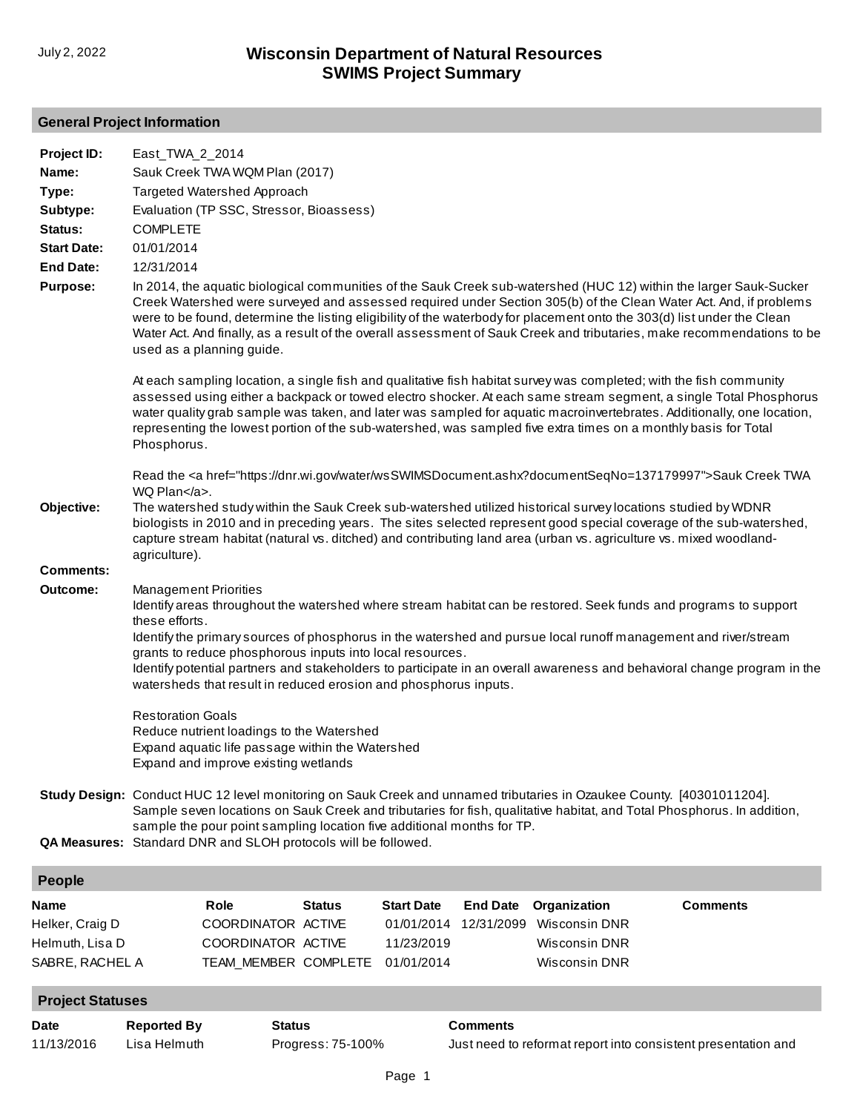## **General Project Information**

| <b>Date</b>                                                          | <b>Reported By</b>                             | <b>Status</b>                                                                                                                         |               |                                                             | <b>Comments</b>               |                                                                                                                                                                                                                                        |                                                                                                                                                                                                                                                                                                                                                                                                                                                                                               |
|----------------------------------------------------------------------|------------------------------------------------|---------------------------------------------------------------------------------------------------------------------------------------|---------------|-------------------------------------------------------------|-------------------------------|----------------------------------------------------------------------------------------------------------------------------------------------------------------------------------------------------------------------------------------|-----------------------------------------------------------------------------------------------------------------------------------------------------------------------------------------------------------------------------------------------------------------------------------------------------------------------------------------------------------------------------------------------------------------------------------------------------------------------------------------------|
| <b>Project Statuses</b>                                              |                                                |                                                                                                                                       |               |                                                             |                               |                                                                                                                                                                                                                                        |                                                                                                                                                                                                                                                                                                                                                                                                                                                                                               |
| <b>Name</b><br>Helker, Craig D<br>Helmuth, Lisa D<br>SABRE, RACHEL A |                                                | <b>Role</b><br>COORDINATOR ACTIVE<br>COORDINATOR ACTIVE<br>TEAM_MEMBER COMPLETE                                                       | <b>Status</b> | <b>Start Date</b><br>01/01/2014<br>11/23/2019<br>01/01/2014 | <b>End Date</b><br>12/31/2099 | Organization<br><b>Wisconsin DNR</b><br><b>Wisconsin DNR</b><br>Wisconsin DNR                                                                                                                                                          | <b>Comments</b>                                                                                                                                                                                                                                                                                                                                                                                                                                                                               |
| People                                                               |                                                |                                                                                                                                       |               |                                                             |                               |                                                                                                                                                                                                                                        |                                                                                                                                                                                                                                                                                                                                                                                                                                                                                               |
|                                                                      |                                                | QA Measures: Standard DNR and SLOH protocols will be followed.                                                                        |               |                                                             |                               |                                                                                                                                                                                                                                        |                                                                                                                                                                                                                                                                                                                                                                                                                                                                                               |
|                                                                      |                                                | sample the pour point sampling location five additional months for TP.                                                                |               |                                                             |                               | Study Design: Conduct HUC 12 level monitoring on Sauk Creek and unnamed tributaries in Ozaukee County. [40301011204].                                                                                                                  | Sample seven locations on Sauk Creek and tributaries for fish, qualitative habitat, and Total Phosphorus. In addition,                                                                                                                                                                                                                                                                                                                                                                        |
|                                                                      | <b>Restoration Goals</b>                       | Reduce nutrient loadings to the Watershed<br>Expand aquatic life passage within the Watershed<br>Expand and improve existing wetlands |               |                                                             |                               |                                                                                                                                                                                                                                        |                                                                                                                                                                                                                                                                                                                                                                                                                                                                                               |
| Outcome:                                                             | <b>Management Priorities</b><br>these efforts. | grants to reduce phosphorous inputs into local resources.<br>watersheds that result in reduced erosion and phosphorus inputs.         |               |                                                             |                               |                                                                                                                                                                                                                                        | Identify areas throughout the watershed where stream habitat can be restored. Seek funds and programs to support<br>Identify the primary sources of phosphorus in the watershed and pursue local runoff management and river/stream<br>Identify potential partners and stakeholders to participate in an overall awareness and behavioral change program in the                                                                                                                               |
| Objective:<br><b>Comments:</b>                                       | WQ Plan.<br>agriculture).                      |                                                                                                                                       |               |                                                             |                               | The watershed study within the Sauk Creek sub-watershed utilized historical survey locations studied by WDNR<br>capture stream habitat (natural vs. ditched) and contributing land area (urban vs. agriculture vs. mixed woodland-     | biologists in 2010 and in preceding years. The sites selected represent good special coverage of the sub-watershed,                                                                                                                                                                                                                                                                                                                                                                           |
|                                                                      | Phosphorus.                                    |                                                                                                                                       |               |                                                             |                               | At each sampling location, a single fish and qualitative fish habitat survey was completed; with the fish community<br>representing the lowest portion of the sub-watershed, was sampled five extra times on a monthly basis for Total | assessed using either a backpack or towed electro shocker. At each same stream segment, a single Total Phosphorus<br>water quality grab sample was taken, and later was sampled for aquatic macroinvertebrates. Additionally, one location,<br>Read the <a href="https://dnr.wi.gov/water/wsSWIMSDocument.ashx?documentSeqNo=137179997">Sauk Creek TWA</a>                                                                                                                                    |
| <b>Purpose:</b>                                                      |                                                | used as a planning guide.                                                                                                             |               |                                                             |                               |                                                                                                                                                                                                                                        | In 2014, the aquatic biological communities of the Sauk Creek sub-watershed (HUC 12) within the larger Sauk-Sucker<br>Creek Watershed were surveyed and assessed required under Section 305(b) of the Clean Water Act. And, if problems<br>were to be found, determine the listing eligibility of the waterbody for placement onto the 303(d) list under the Clean<br>Water Act. And finally, as a result of the overall assessment of Sauk Creek and tributaries, make recommendations to be |
| <b>Start Date:</b><br><b>End Date:</b>                               | 01/01/2014<br>12/31/2014                       |                                                                                                                                       |               |                                                             |                               |                                                                                                                                                                                                                                        |                                                                                                                                                                                                                                                                                                                                                                                                                                                                                               |
| Subtype:<br>Status:                                                  | <b>COMPLETE</b>                                |                                                                                                                                       |               |                                                             |                               |                                                                                                                                                                                                                                        |                                                                                                                                                                                                                                                                                                                                                                                                                                                                                               |
| Type:                                                                |                                                | Targeted Watershed Approach<br>Evaluation (TP SSC, Stressor, Bioassess)                                                               |               |                                                             |                               |                                                                                                                                                                                                                                        |                                                                                                                                                                                                                                                                                                                                                                                                                                                                                               |
| Name:                                                                |                                                | Sauk Creek TWA WQM Plan (2017)                                                                                                        |               |                                                             |                               |                                                                                                                                                                                                                                        |                                                                                                                                                                                                                                                                                                                                                                                                                                                                                               |
| Project ID:                                                          | East TWA 2 2014                                |                                                                                                                                       |               |                                                             |                               |                                                                                                                                                                                                                                        |                                                                                                                                                                                                                                                                                                                                                                                                                                                                                               |

11/13/2016 Lisa Helmuth Progress: 75-100% Just need to reformat report into consistent presentation and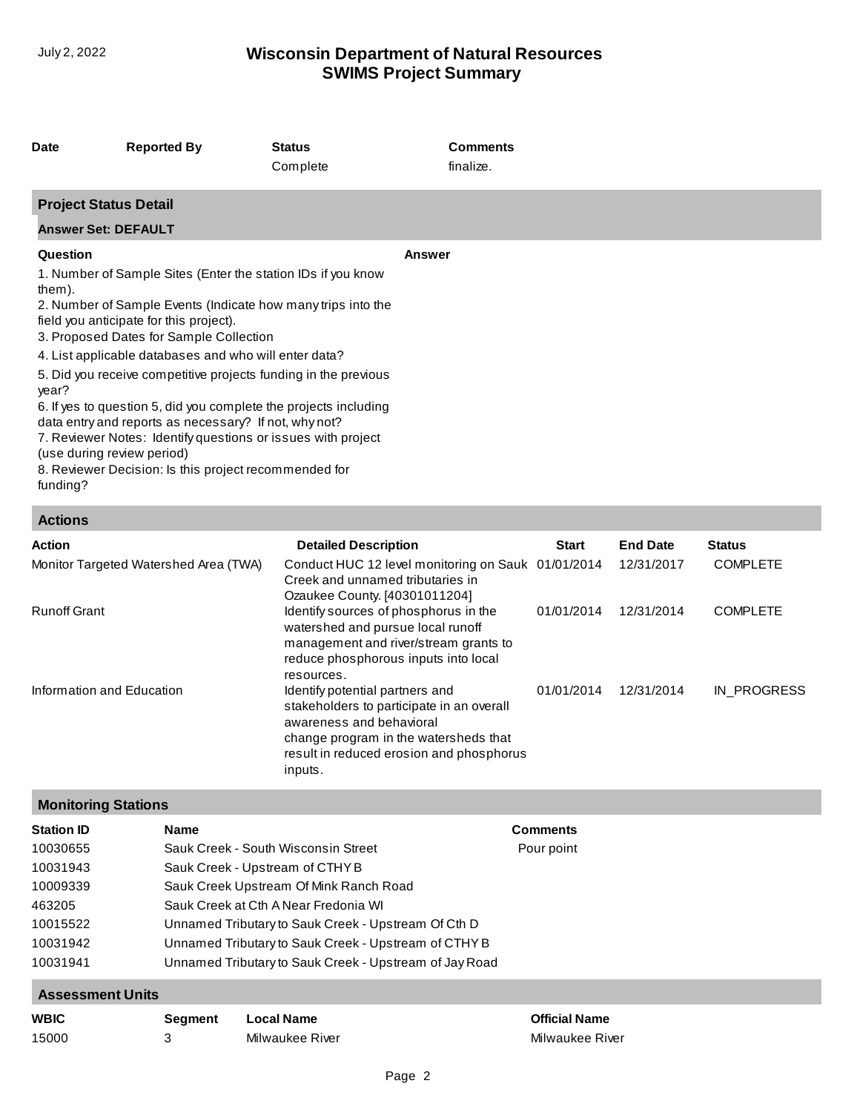# **SWIMS Project Summary** July 2, 2022 **Wisconsin Department of Natural Resources**

| Date                                                      | <b>Reported By</b>                                                                                                                                                                                                                                                                                                                                                                                                                                                                                                                                                                                   | <b>Status</b><br>Complete | <b>Comments</b><br>finalize. |  |
|-----------------------------------------------------------|------------------------------------------------------------------------------------------------------------------------------------------------------------------------------------------------------------------------------------------------------------------------------------------------------------------------------------------------------------------------------------------------------------------------------------------------------------------------------------------------------------------------------------------------------------------------------------------------------|---------------------------|------------------------------|--|
| <b>Project Status Detail</b>                              |                                                                                                                                                                                                                                                                                                                                                                                                                                                                                                                                                                                                      |                           |                              |  |
| <b>Answer Set: DEFAULT</b>                                |                                                                                                                                                                                                                                                                                                                                                                                                                                                                                                                                                                                                      |                           |                              |  |
| Question                                                  |                                                                                                                                                                                                                                                                                                                                                                                                                                                                                                                                                                                                      |                           | Answer                       |  |
| them).<br>year?<br>(use during review period)<br>funding? | 1. Number of Sample Sites (Enter the station IDs if you know<br>2. Number of Sample Events (Indicate how many trips into the<br>field you anticipate for this project).<br>3. Proposed Dates for Sample Collection<br>4. List applicable databases and who will enter data?<br>5. Did you receive competitive projects funding in the previous<br>6. If yes to question 5, did you complete the projects including<br>data entry and reports as necessary? If not, why not?<br>7. Reviewer Notes: Identify questions or issues with project<br>8. Reviewer Decision: Is this project recommended for |                           |                              |  |

## **Actions**

| <b>Action</b>                         | <b>Detailed Description</b>                                                                                                                                                                              | <b>Start</b> | <b>End Date</b> | <b>Status</b>   |
|---------------------------------------|----------------------------------------------------------------------------------------------------------------------------------------------------------------------------------------------------------|--------------|-----------------|-----------------|
| Monitor Targeted Watershed Area (TWA) | Conduct HUC 12 level monitoring on Sauk 01/01/2014<br>Creek and unnamed tributaries in<br>Ozaukee County. [40301011204]                                                                                  |              | 12/31/2017      | <b>COMPLETE</b> |
| <b>Runoff Grant</b>                   | Identify sources of phosphorus in the<br>watershed and pursue local runoff<br>management and river/stream grants to<br>reduce phosphorous inputs into local<br>resources.                                | 01/01/2014   | 12/31/2014      | <b>COMPLETE</b> |
| Information and Education             | Identify potential partners and<br>stakeholders to participate in an overall<br>awareness and behavioral<br>change program in the watersheds that<br>result in reduced erosion and phosphorus<br>inputs. | 01/01/2014   | 12/31/2014      | IN PROGRESS     |

## **Monitoring Stations**

| <b>Station ID</b>       | <b>Name</b>    |                                                        | <b>Comments</b>      |
|-------------------------|----------------|--------------------------------------------------------|----------------------|
| 10030655                |                | Sauk Creek - South Wisconsin Street                    | Pour point           |
| 10031943                |                | Sauk Creek - Upstream of CTHY B                        |                      |
| 10009339                |                | Sauk Creek Upstream Of Mink Ranch Road                 |                      |
| 463205                  |                | Sauk Creek at Cth A Near Fredonia WI                   |                      |
| 10015522                |                | Unnamed Tributary to Sauk Creek - Upstream Of Cth D    |                      |
| 10031942                |                | Unnamed Tributary to Sauk Creek - Upstream of CTHY B   |                      |
| 10031941                |                | Unnamed Tributary to Sauk Creek - Upstream of Jay Road |                      |
| <b>Assessment Units</b> |                |                                                        |                      |
| <b>WBIC</b>             | <b>Seament</b> | Local Name                                             | <b>Official Name</b> |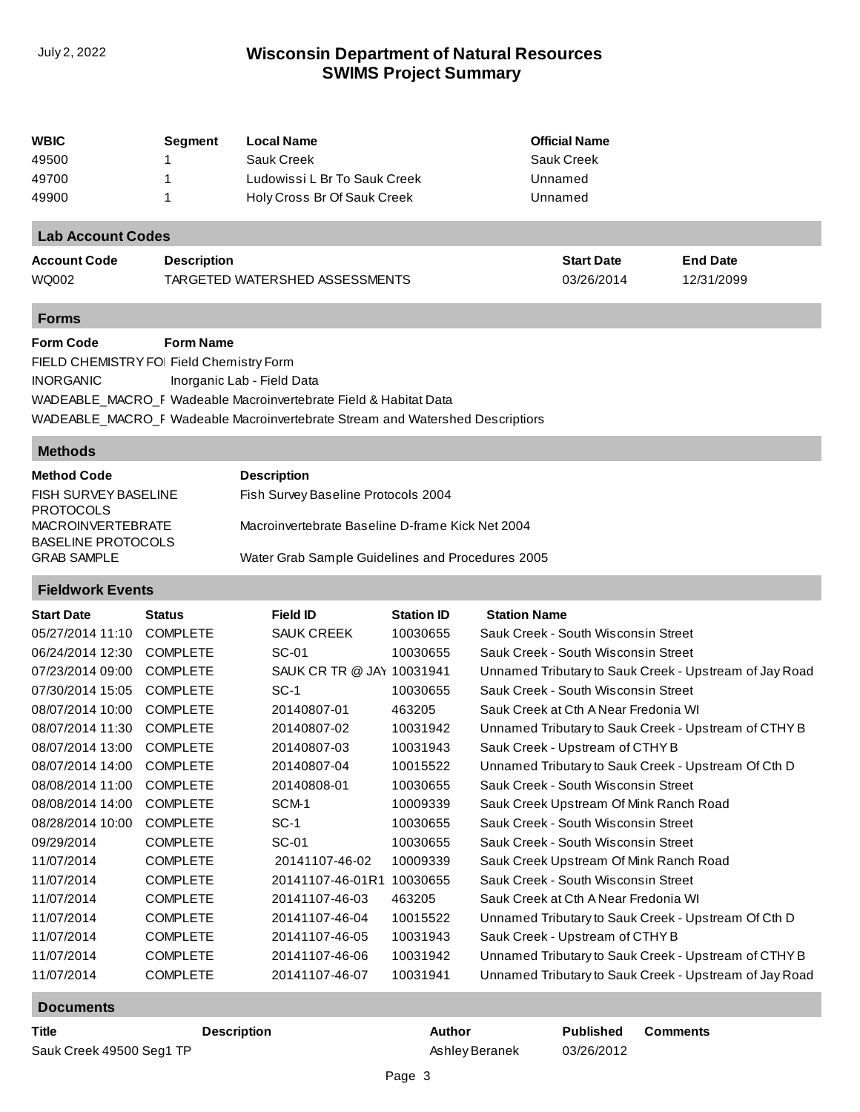# **SWIMS Project Summary** July 2, 2022 **Wisconsin Department of Natural Resources**

| WBIC                     | Segment            | <b>Local Name</b>              | <b>Official Name</b> |                 |  |
|--------------------------|--------------------|--------------------------------|----------------------|-----------------|--|
| 49500                    |                    | Sauk Creek                     | <b>Sauk Creek</b>    |                 |  |
| 49700                    |                    | Ludowissi L Br To Sauk Creek   | Unnamed              |                 |  |
| 49900                    |                    | Holy Cross Br Of Sauk Creek    | Unnamed              |                 |  |
| <b>Lab Account Codes</b> |                    |                                |                      |                 |  |
| <b>Account Code</b>      | <b>Description</b> |                                | <b>Start Date</b>    | <b>End Date</b> |  |
| WQ002                    |                    | TARGETED WATERSHED ASSESSMENTS | 03/26/2014           | 12/31/2099      |  |
| <b>Forms</b>             |                    |                                |                      |                 |  |
| <b>Form Code</b>         | <b>Form Name</b>   |                                |                      |                 |  |

| .                                        |                                                                               |
|------------------------------------------|-------------------------------------------------------------------------------|
| FIELD CHEMISTRY FOI Field Chemistry Form |                                                                               |
| <b>INORGANIC</b>                         | Inorganic Lab - Field Data                                                    |
|                                          | WADEABLE MACRO F Wadeable Macroinvertebrate Field & Habitat Data              |
|                                          | WADEABLE MACRO F Wadeable Macroinvertebrate Stream and Watershed Descriptiors |

#### **Methods**

| <b>Method Code</b>        | <b>Description</b>                               |
|---------------------------|--------------------------------------------------|
| FISH SURVEY BASELINE      | Fish Survey Baseline Protocols 2004              |
| <b>PROTOCOLS</b>          |                                                  |
| <b>MACROINVERTEBRATE</b>  | Macroinvertebrate Baseline D-frame Kick Net 2004 |
| <b>BASELINE PROTOCOLS</b> |                                                  |
| <b>GRAB SAMPLE</b>        | Water Grab Sample Guidelines and Procedures 2005 |

## **Fieldwork Events**

| <b>Start Date</b> | <b>Status</b>   | Field ID                  | <b>Station ID</b> | <b>Station Name</b>                                    |
|-------------------|-----------------|---------------------------|-------------------|--------------------------------------------------------|
| 05/27/2014 11:10  | <b>COMPLETE</b> | <b>SAUK CREEK</b>         | 10030655          | Sauk Creek - South Wisconsin Street                    |
| 06/24/2014 12:30  | <b>COMPLETE</b> | SC-01                     | 10030655          | Sauk Creek - South Wisconsin Street                    |
| 07/23/2014 09:00  | <b>COMPLETE</b> | SAUK CR TR @ JAY 10031941 |                   | Unnamed Tributary to Sauk Creek - Upstream of Jay Road |
| 07/30/2014 15:05  | <b>COMPLETE</b> | $SC-1$                    | 10030655          | Sauk Creek - South Wisconsin Street                    |
| 08/07/2014 10:00  | <b>COMPLETE</b> | 20140807-01               | 463205            | Sauk Creek at Cth A Near Fredonia WI                   |
| 08/07/2014 11:30  | <b>COMPLETE</b> | 20140807-02               | 10031942          | Unnamed Tributary to Sauk Creek - Upstream of CTHY B   |
| 08/07/2014 13:00  | <b>COMPLETE</b> | 20140807-03               | 10031943          | Sauk Creek - Upstream of CTHY B                        |
| 08/07/2014 14:00  | <b>COMPLETE</b> | 20140807-04               | 10015522          | Unnamed Tributary to Sauk Creek - Upstream Of Cth D    |
| 08/08/2014 11:00  | <b>COMPLETE</b> | 20140808-01               | 10030655          | Sauk Creek - South Wisconsin Street                    |
| 08/08/2014 14:00  | <b>COMPLETE</b> | SCM-1                     | 10009339          | Sauk Creek Upstream Of Mink Ranch Road                 |
| 08/28/2014 10:00  | <b>COMPLETE</b> | $SC-1$                    | 10030655          | Sauk Creek - South Wisconsin Street                    |
| 09/29/2014        | <b>COMPLETE</b> | SC-01                     | 10030655          | Sauk Creek - South Wisconsin Street                    |
| 11/07/2014        | <b>COMPLETE</b> | 20141107-46-02            | 10009339          | Sauk Creek Upstream Of Mink Ranch Road                 |
| 11/07/2014        | <b>COMPLETE</b> | 20141107-46-01R1          | 10030655          | Sauk Creek - South Wisconsin Street                    |
| 11/07/2014        | <b>COMPLETE</b> | 20141107-46-03            | 463205            | Sauk Creek at Cth A Near Fredonia WI                   |
| 11/07/2014        | <b>COMPLETE</b> | 20141107-46-04            | 10015522          | Unnamed Tributary to Sauk Creek - Upstream Of Cth D    |
| 11/07/2014        | <b>COMPLETE</b> | 20141107-46-05            | 10031943          | Sauk Creek - Upstream of CTHY B                        |
| 11/07/2014        | <b>COMPLETE</b> | 20141107-46-06            | 10031942          | Unnamed Tributary to Sauk Creek - Upstream of CTHY B   |
| 11/07/2014        | <b>COMPLETE</b> | 20141107-46-07            | 10031941          | Unnamed Tributary to Sauk Creek - Upstream of Jay Road |

#### **Documents**

| Title                    | <b>Description</b> | Author         | <b>Published</b> | Comments |
|--------------------------|--------------------|----------------|------------------|----------|
| Sauk Creek 49500 Seg1 TP |                    | Ashley Beranek | 03/26/2012       |          |